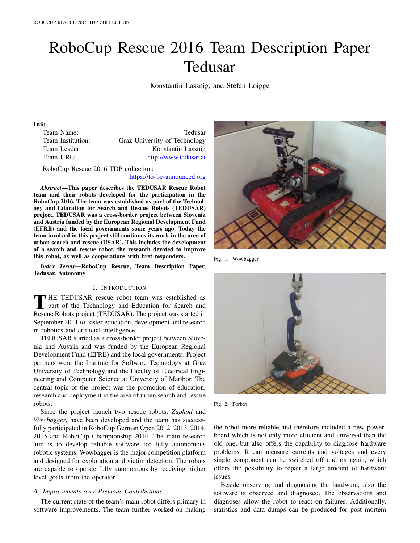# RoboCup Rescue 2016 Team Description Paper Tedusar

Konstantin Lassnig, and Stefan Loigge

# Info

Team Name: Tedusar Team Institution: Graz University of Technology Team Leader: Konstantin Lassnig Team URL: http://www.tedusar.at

RoboCup Rescue 2016 TDP collection:

#### https://to-be-announced.org

*Abstract*—This paper describes the TEDUSAR Rescue Robot team and their robots developed for the participation in the RoboCup 2016. The team was established as part of the Technology and Education for Search and Rescue Robots (TEDUSAR) project. TEDUSAR was a cross-border project between Slovenia and Austria funded by the European Regional Development Fund (EFRE) and the local governments some years ago. Today the team involved in this project still continues its work in the area of urban search and rescue (USAR). This includes the development of a search and rescue robot, the research devoted to improve this robot, as well as cooperations with first responders.

*Index Terms*—RoboCup Rescue, Team Description Paper, Tedusar, Autonomy

## I. INTRODUCTION

THE TEDUSAR rescue robot team was established as<br>part of the Technology and Education for Search and<br>Research Political present (TEDUSAR). The present was started in Rescue Robots project (TEDUSAR). The project was started in September 2011 to foster education, development and research in robotics and artificial intelligence.

TEDUSAR started as a cross-border project between Slovenia and Austria and was funded by the European Regional Development Fund (EFRE) and the local governments. Project partners were the Institute for Software Technology at Graz University of Technology and the Faculty of Electrical Engineering and Computer Science at University of Maribor. The central topic of the project was the promotion of education, research and deployment in the area of urban search and rescue robots.

Since the project launch two rescue robots, *Zaphod* and *Wowbagger*, have been developed and the team has successfully participated in RoboCup German Open 2012, 2013, 2014, 2015 and RoboCup Championship 2014. The main research aim is to develop reliable software for fully autonomous robotic systems. Wowbagger is the major competition platform and designed for exploration and victim detection. The robots are capable to operate fully autonomous by receiving higher level goals from the operator.

#### *A. Improvements over Previous Contributions*

The current state of the team's main robot differs primary in software improvements. The team further worked on making



Fig. 1. Wowbagger



Fig. 2. Forbot

the robot more reliable and therefore included a new powerboard which is not only more efficient and universal than the old one, but also offers the capability to diagnose hardware problems. It can measure currents and voltages and every single component can be switched off and on again, which offers the possibility to repair a large amount of hardware issues.

Beside observing and diagnosing the hardware, also the software is observed and diagnosed. The observations and diagnoses allow the robot to react on failures. Additionally, statistics and data dumps can be produced for post mortem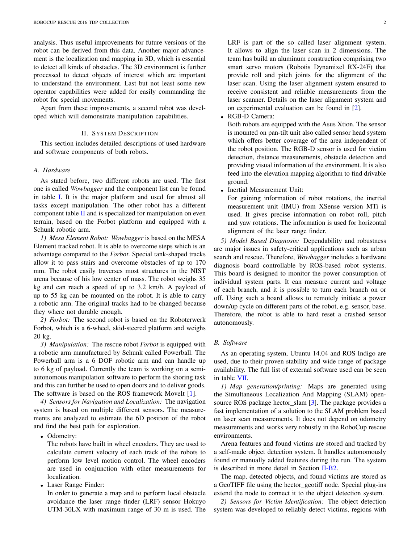analysis. Thus useful improvements for future versions of the robot can be derived from this data. Another major advancement is the localization and mapping in 3D, which is essential to detect all kinds of obstacles. The 3D environment is further processed to detect objects of interest which are important to understand the environment. Last but not least some new operator capabilities were added for easily commanding the robot for special movements.

Apart from these improvements, a second robot was developed which will demonstrate manipulation capabilities.

#### II. SYSTEM DESCRIPTION

This section includes detailed descriptions of used hardware and software components of both robots.

#### *A. Hardware*

As stated before, two different robots are used. The first one is called *Wowbagger* and the component list can be found in table I. It is the major platform and used for almost all tasks except manipulation. The other robot has a different component table  $II$  and is specialized for manipulation on even terrain, based on the Forbot platform and equipped with a Schunk robotic arm.

*1) Mesa Element Robot: Wowbagger* is based on the MESA Element tracked robot. It is able to overcome steps which is an advantage compared to the *Forbot*. Special tank-shaped tracks allow it to pass stairs and overcome obstacles of up to 170 mm. The robot easily traverses most structures in the NIST arena because of his low center of mass. The robot weighs 35 kg and can reach a speed of up to 3.2 km/h. A payload of up to 55 kg can be mounted on the robot. It is able to carry a robotic arm. The original tracks had to be changed because they where not durable enough.

*2) Forbot:* The second robot is based on the Roboterwerk Forbot, which is a 6-wheel, skid-steered platform and weighs 20 kg.

*3) Manipulation:* The rescue robot *Forbot* is equipped with a robotic arm manufactured by Schunk called Powerball. The Powerball arm is a 6 DOF robotic arm and can handle up to 6 kg of payload. Currently the team is working on a semiautonomous manipulation software to perform the shoring task and this can further be used to open doors and to deliver goods. The software is based on the ROS framework MoveIt [1].

*4) Sensors for Navigation and Localization:* The navigation system is based on multiple different sensors. The measurements are analyzed to estimate the 6D position of the robot and find the best path for exploration.

*•* Odometry:

The robots have built in wheel encoders. They are used to calculate current velocity of each track of the robots to perform low level motion control. The wheel encoders are used in conjunction with other measurements for localization.

*•* Laser Range Finder:

In order to generate a map and to perform local obstacle avoidance the laser range finder (LRF) sensor Hokuyo UTM-30LX with maximum range of 30 m is used. The LRF is part of the so called laser alignment system. It allows to align the laser scan in 2 dimensions. The team has build an aluminum construction comprising two smart servo motors (Robotis Dynamixel RX-24F) that provide roll and pitch joints for the alignment of the laser scan. Using the laser alignment system ensured to receive consistent and reliable measurements from the laser scanner. Details on the laser alignment system and on experimental evaluation can be found in [2].

*•* RGB-D Camera:

Both robots are equipped with the Asus Xtion. The sensor is mounted on pan-tilt unit also called sensor head system which offers better coverage of the area independent of the robot position. The RGB-D sensor is used for victim detection, distance measurements, obstacle detection and providing visual information of the environment. It is also feed into the elevation mapping algorithm to find drivable ground.

*•* Inertial Measurement Unit:

For gaining information of robot rotations, the inertial measurement unit (IMU) from XSense version MTi is used. It gives precise information on robot roll, pitch and yaw rotations. The information is used for horizontal alignment of the laser range finder.

*5) Model Based Diagnosis:* Dependability and robustness are major issues in safety-critical applications such as urban search and rescue. Therefore, *Wowbagger* includes a hardware diagnosis board controllable by ROS-based robot systems. This board is designed to monitor the power consumption of individual system parts. It can measure current and voltage of each branch, and it is possible to turn each branch on or off. Using such a board allows to remotely initiate a power down/up cycle on different parts of the robot, e.g. sensor, base. Therefore, the robot is able to hard reset a crashed sensor autonomously.

#### *B. Software*

As an operating system, Ubuntu 14.04 and ROS Indigo are used, due to their proven stability and wide range of package availability. The full list of external software used can be seen in table VII.

*1) Map generation/printing:* Maps are generated using the Simultaneous Localization And Mapping (SLAM) opensource ROS package hector\_slam [3]. The package provides a fast implementation of a solution to the SLAM problem based on laser scan measurements. It does not depend on odometry measurements and works very robustly in the RoboCup rescue environments.

Arena features and found victims are stored and tracked by a self-made object detection system. It handles autonomously found or manually added features during the run. The system is described in more detail in Section II-B2.

The map, detected objects, and found victims are stored as a GeoTIFF file using the hector geotiff node. Special plug-ins extend the node to connect it to the object detection system.

*2) Sensors for Victim Identification:* The object detection system was developed to reliably detect victims, regions with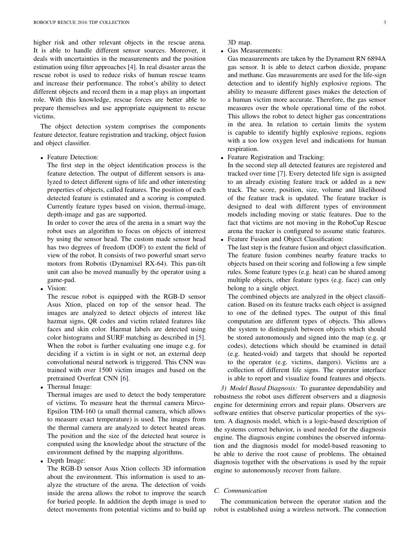higher risk and other relevant objects in the rescue arena. It is able to handle different sensor sources. Moreover, it deals with uncertainties in the measurements and the position estimation using filter approaches [4]. In real disaster areas the rescue robot is used to reduce risks of human rescue teams and increase their performance. The robot's ability to detect different objects and record them in a map plays an important role. With this knowledge, rescue forces are better able to prepare themselves and use appropriate equipment to rescue victims.

The object detection system comprises the components feature detector, feature registration and tracking, object fusion and object classifier.

*•* Feature Detection:

The first step in the object identification process is the feature detection. The output of different sensors is analyzed to detect different signs of life and other interesting properties of objects, called features. The position of each detected feature is estimated and a scoring is computed. Currently feature types based on vision, thermal-image, depth-image and gas are supported.

In order to cover the area of the arena in a smart way the robot uses an algorithm to focus on objects of interrest by using the sensor head. The custom made sensor head has two degrees of freedom (DOF) to extent the field of view of the robot. It consists of two powerful smart servo motors from Robotis (Dynamixel RX-64). This pan-tilt unit can also be moved manually by the operator using a game-pad.

*•* Vision:

The rescue robot is equipped with the RGB-D sensor Asus Xtion, placed on top of the sensor head. The images are analyzed to detect objects of interest like hazmat signs, QR codes and victim related features like faces and skin color. Hazmat labels are detected using color histograms and SURF matching as described in [5]. When the robot is further evaluating one image e.g. for deciding if a victim is in sight or not, an external deep convolutional neural network is triggered. This CNN was trained with over 1500 victim images and based on the pretrained Overfeat CNN [6].

*•* Thermal Image:

Thermal images are used to detect the body temperature of victims. To measure heat the thermal camera Mirco-Epsilon TIM-160 (a small thermal camera, which allows to measure exact temperature) is used. The images from the thermal camera are analyzed to detect heated areas. The position and the size of the detected heat source is computed using the knowledge about the structure of the environment defined by the mapping algorithms.

*•* Depth Image:

The RGB-D sensor Asus Xtion collects 3D information about the environment. This information is used to analyze the structure of the arena. The detection of voids inside the arena allows the robot to improve the search for buried people. In addition the depth image is used to detect movements from potential victims and to build up 3D map.

*•* Gas Measurements:

Gas measurements are taken by the Dynament RN 6894A gas sensor. It is able to detect carbon dioxide, propane and methane. Gas measurements are used for the life-sign detection and to identify highly explosive regions. The ability to measure different gases makes the detection of a human victim more accurate. Therefore, the gas sensor measures over the whole operational time of the robot. This allows the robot to detect higher gas concentrations in the area. In relation to certain limits the system is capable to identify highly explosive regions, regions with a too low oxygen level and indications for human respiration.

*•* Feature Registration and Tracking:

In the second step all detected features are registered and tracked over time [7]. Every detected life sign is assigned to an already existing feature track or added as a new track. The score, position, size, volume and likelihood of the feature track is updated. The feature tracker is designed to deal with different types of environment models including moving or static features. Due to the fact that victims are not moving in the RoboCup Rescue arena the tracker is configured to assume static features.

*•* Feature Fusion and Object Classification:

The last step is the feature fusion and object classification. The feature fusion combines nearby feature tracks to objects based on their scoring and following a few simple rules. Some feature types (e.g. heat) can be shared among multiple objects, other feature types (e.g. face) can only belong to a single object.

The combined objects are analyzed in the object classification. Based on its feature tracks each object is assigned to one of the defined types. The output of this final computation are different types of objects. This allows the system to distinguish between objects which should be stored autonomously and signed into the map (e.g. qr codes), detections which should be examined in detail (e.g. heated-void) and targets that should be reported to the operator (e.g. victims, dangers). Victims are a collection of different life signs. The operator interface is able to report and visualize found features and objects.

*3) Model Based Diagnosis:* To guarantee dependability and robustness the robot uses different observers and a diagnosis engine for determining errors and repair plans. Observers are software entities that observe particular properties of the system. A diagnosis model, which is a logic-based description of the systems correct behavior, is used needed for the diagnosis engine. The diagnosis engine combines the observed information and the diagnosis model for model-based reasoning to be able to derive the root cause of problems. The obtained diagnosis together with the observations is used by the repair engine to autonomously recover from failure.

# *C. Communication*

The communication between the operator station and the robot is established using a wireless network. The connection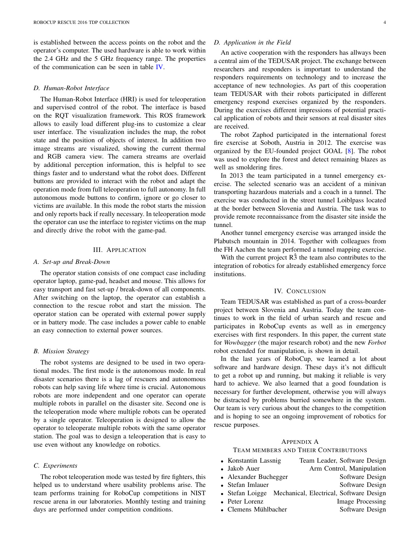is established between the access points on the robot and the operator's computer. The used hardware is able to work within the 2.4 GHz and the 5 GHz frequency range. The properties of the communication can be seen in table IV.

#### *D. Human-Robot Interface*

The Human-Robot Interface (HRI) is used for teleoperation and supervised control of the robot. The interface is based on the RQT visualization framework. This ROS framework allows to easily load different plug-ins to customize a clear user interface. The visualization includes the map, the robot state and the position of objects of interest. In addition two image streams are visualized, showing the current thermal and RGB camera view. The camera streams are overlaid by additional perception information, this is helpful to see things faster and to understand what the robot does. Different buttons are provided to interact with the robot and adapt the operation mode from full teleoperation to full autonomy. In full autonomous mode buttons to confirm, ignore or go closer to victims are available. In this mode the robot starts the mission and only reports back if really necessary. In teleoperation mode the operator can use the interface to register victims on the map and directly drive the robot with the game-pad.

## III. APPLICATION

#### *A. Set-up and Break-Down*

The operator station consists of one compact case including operator laptop, game-pad, headset and mouse. This allows for easy transport and fast set-up / break-down of all components. After switching on the laptop, the operator can establish a connection to the rescue robot and start the mission. The operator station can be operated with external power supply or in battery mode. The case includes a power cable to enable an easy connection to external power sources.

# *B. Mission Strategy*

The robot systems are designed to be used in two operational modes. The first mode is the autonomous mode. In real disaster scenarios there is a lag of rescuers and autonomous robots can help saving life where time is crucial. Autonomous robots are more independent and one operator can operate multiple robots in parallel on the disaster site. Second one is the teleoperation mode where multiple robots can be operated by a single operator. Teleoperation is designed to allow the operator to teleoperate multiple robots with the same operator station. The goal was to design a teleoperation that is easy to use even without any knowledge on robotics.

#### *C. Experiments*

The robot teleoperation mode was tested by fire fighters, this helped us to understand where usability problems arise. The team performs training for RoboCup competitions in NIST rescue arena in our laboratories. Monthly testing and training days are performed under competition conditions.

#### *D. Application in the Field*

An active cooperation with the responders has allways been a central aim of the TEDUSAR project. The exchange between researchers and responders is important to understand the responders requirements on technology and to increase the acceptance of new technologies. As part of this cooperation team TEDUSAR with their robots participated in different emergency respond exercises organized by the responders. During the exercises different impressions of potential practical application of robots and their sensors at real disaster sites are received.

The robot Zaphod participated in the international forest fire exercise at Soboth, Austria in 2012. The exercise was organized by the EU-founded project GOAL [8]. The robot was used to explore the forest and detect remaining blazes as well as smoldering fires.

In 2013 the team participated in a tunnel emergency exercise. The selected scenario was an accident of a minivan transporting hazardous materials and a coach in a tunnel. The exercise was conducted in the street tunnel Loiblpass located at the border between Slovenia and Austria. The task was to provide remote reconnaissance from the disaster site inside the tunnel.

Another tunnel emergency exercise was arranged inside the Plabutsch mountain in 2014. Together with colleagues from the FH Aachen the team performed a tunnel mapping exercise.

With the current project  $\overline{R}$  as the team also contributes to the integration of robotics for already established emergency force institutions.

#### IV. CONCLUSION

Team TEDUSAR was established as part of a cross-boarder project between Slovenia and Austria. Today the team continues to work in the field of urban search and rescue and participates in RoboCup events as well as in emergency exercises with first responders. In this paper, the current state for *Wowbagger* (the major research robot) and the new *Forbot* robot extended for manipulation, is shown in detail.

In the last years of RoboCup, we learned a lot about software and hardware design. These days it's not difficult to get a robot up and running, but making it reliable is very hard to achieve. We also learned that a good foundation is necessary for further development, otherwise you will always be distracted by problems burried somewhere in the system. Our team is very curious about the changes to the competition and is hoping to see an ongoing improvement of robotics for rescue purposes.

# APPENDIX A

#### TEAM MEMBERS AND THEIR CONTRIBUTIONS

- *•* Konstantin Lassnig Team Leader, Software Design
- Jakob Auer **Arm Control**, Manipulation
- Alexander Buchegger Software Design
- Stefan Imlauer Software Design
- *•* Stefan Loigge Mechanical, Electrical, Software Design
	- Peter Lorenz Image Processing<br>
	Clemens Mühlbacher Software Design
	- Clemens Mühlbacher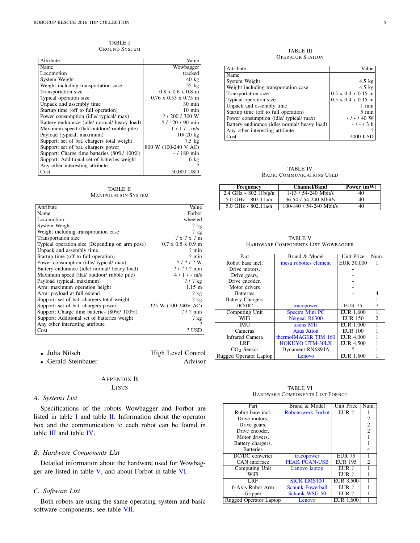TABLE I GROUND SYSTEM

| Attribute                                    | Value                                 |
|----------------------------------------------|---------------------------------------|
| Name                                         | Wowbagger                             |
| Locomotion                                   | tracked                               |
| System Weight                                | $40 \text{ kg}$                       |
| Weight including transportation case         | $55$ kg                               |
| Transportation size                          | $0.8 \times 0.6 \times 0.8 \text{ m}$ |
| Typical operation size                       | $0.76 \times 0.53 \times 0.75$ m      |
| Unpack and assembly time                     | $30 \text{ min}$                      |
| Startup time (off to full operation)         | $10 \text{ min}$                      |
| Power consumption (idle/ typical/ max)       | ?/200/300 W                           |
| Battery endurance (idle/ normal/ heavy load) | $? / 120 / 90$ min                    |
| Maximum speed (flat/ outdoor/ rubble pile)   | $1/1/-$ m/s                           |
| Payload (typical, maximum)                   | $10/20$ kg                            |
| Support: set of bat. chargers total weight   | $7.5 \text{ kg}$                      |
| Support: set of bat. chargers power          | 800 W (100-240 V AC)                  |
| Support: Charge time batteries (80%/100%)    | $- / 180$ min                         |
| Support: Additional set of batteries weight  | $6\ \mathrm{kg}$                      |
| Any other interesting attribute              |                                       |
| Cost                                         | 50,000 USD                            |

TABLE II MANIPULATION SYSTEM

| Attribute                                      | Value                                 |
|------------------------------------------------|---------------------------------------|
| Name                                           | Forbot                                |
| Locomotion                                     | wheeled                               |
| System Weight                                  | $?$ kg                                |
| Weight including transportation case           | $?$ kg                                |
| Transportation size                            | ? x ? x ? m                           |
| Typical operation size (Depending on arm pose) | $0.7 \times 0.5 \times 0.9 \text{ m}$ |
| Unpack and assembly time                       | $2 \text{ min}$                       |
| Startup time (off to full operation)           | $?$ min                               |
| Power consumption (idle/ typical/ max)         | $?$ / ? / ? W                         |
| Battery endurance (idle/ normal/ heavy load)   | $?$ / ? / ? min                       |
| Maximum speed (flat/ outdoor/ rubble pile)     | $4/1$ / - m/s                         |
| Payload (typical, maximum)                     | $?$ / $?$ kg                          |
| Arm: maximum operation height                  | $1.15 \; \mathrm{m}$                  |
| Arm: payload at full extend                    | ? $kg$                                |
| Support: set of bat. chargers total weight     | $?$ kg                                |
| Support: set of bat. chargers power            | 325 W (100-240V AC)                   |
| Support: Charge time batteries (80%/100%)      | $?$ / ? min                           |
| Support: Additional set of batteries weight    | $?$ kg                                |
| Any other interesting attribute                | $\mathcal{P}$                         |
| Cost                                           | ? USD                                 |

• Julia Nitsch High Level Control<br>• Gerald Steinbauer Advisor • Gerald Steinbauer

> APPENDIX B LISTS

#### *A. Systems List*

Specifications of the robots Wowbagger and Forbot are listed in table I and table II. Information about the operator box and the communication to each robot can be found in table III and table IV.

# *B. Hardware Components List*

Detailed information about the hardware used for Wowbagger are listed in table V, and about Forbot in table VI.

# *C. Software List*

Both robots are using the same operating system and basic software components, see table VII.

TABLE III OPERATOR STATION

| Attribute                                    | Value                          |
|----------------------------------------------|--------------------------------|
| Name                                         |                                |
| System Weight                                | $4.5 \text{ kg}$               |
| Weight including transportation case         | $4.5 \text{ kg}$               |
| Transportation size                          | $0.5 \times 0.4 \times 0.15$ m |
| Typical operation size                       | $0.5 \times 0.4 \times 0.15$ m |
| Unpack and assembly time                     | 1 min                          |
| Startup time (off to full operation)         | $5 \text{ min}$                |
| Power consumption (idle/ typical/ max)       | $-1 - 140$ W                   |
| Battery endurance (idle/ normal/ heavy load) | $-1$ - 1 3 h                   |
| Any other interesting attribute              |                                |
| Cost                                         | 2000 USD                       |

TABLE IV RADIO COMMUNICATIONS USED

| <b>Frequency</b>          | <b>Channel/Band</b>     | Power (mW) |
|---------------------------|-------------------------|------------|
| $2.4$ GHz - $802.11b/g/n$ | $1-13/54-240$ Mbit/s    | 40         |
| $5.0$ GHz - 802.11a/n     | 36-54 / 54-240 Mbit/s   | 40         |
| 5.0 GHz - $802.11a/n$     | 100-140 / 54-240 Mbit/s | 40         |

| <b>TABLE V</b> |                                    |  |
|----------------|------------------------------------|--|
|                | HARDWARE COMPONENTS LIST WOWBAGGER |  |

| Part                    | Brand & Model          | Unit Price     | Num. |
|-------------------------|------------------------|----------------|------|
| Robot base incl.        | mesa robotics element  | EUR 30,000     |      |
| Drive motors,           |                        |                |      |
| Drive gears,            |                        |                |      |
| Drive encoder.          |                        |                |      |
| Motor drivers           |                        |                |      |
| <b>Batteries</b>        |                        |                |      |
| <b>Battery Chargers</b> |                        |                |      |
| DC/DC                   | tracopower             | <b>EUR 75</b>  |      |
| Computing Unit          | Spectra Mini PC        | EUR 1.600      |      |
| WiFi                    | Netgear R6300          | <b>EUR 150</b> | 2    |
| <b>IMU</b>              | xsens MTi              | EUR 1,000      |      |
| Cameras                 | <b>Asus Xtion</b>      | <b>EUR 100</b> |      |
| Infrared Camera         | thermoIMAGER TIM 160   | EUR 4,000      |      |
| LRF                     | <b>HOKUYO UTM-30LX</b> | EUR 4,500      |      |
| $CO2$ Sensor            | Dynament RN6894A       |                |      |
| Rugged Operator Laptop  | Lenovo                 | EUR 1.600      |      |

TABLE VI HARDWARE COMPONENTS LIST FORBOT

| Part                   | Brand & Model             | Unit Price     | Num.                        |
|------------------------|---------------------------|----------------|-----------------------------|
| Robot base incl.       | <b>Roboterwerk Forbot</b> | EUR?           |                             |
| Drive motors,          |                           |                | 2                           |
| Drive gears,           |                           |                | $\overline{c}$              |
| Drive encoder.         |                           |                | $\mathfrak{D}$              |
| Motor drivers.         |                           |                |                             |
| Battery chargers,      |                           |                |                             |
| <b>Batteries</b>       |                           |                |                             |
| DC/DC converter        | tracopower                | <b>EUR 75</b>  |                             |
| CAN interface          | <b>PEAK PCAN-USB</b>      | <b>EUR 195</b> | $\mathcal{D}_{\mathcal{L}}$ |
| Computing Unit         | Lenovo laptop             | EUR ?          |                             |
| WiFi                   |                           | $EUR$ ?        |                             |
| LRF                    | <b>SICK LMS100</b>        | EUR 3,500      |                             |
| 6-Axis Robot Arm       | <b>Schunk Powerball</b>   | EUR?           |                             |
| Gripper                | Schunk WSG 50             | EUR?           |                             |
| Rugged Operator Laptop | Lenovo                    | EUR 1,600      |                             |